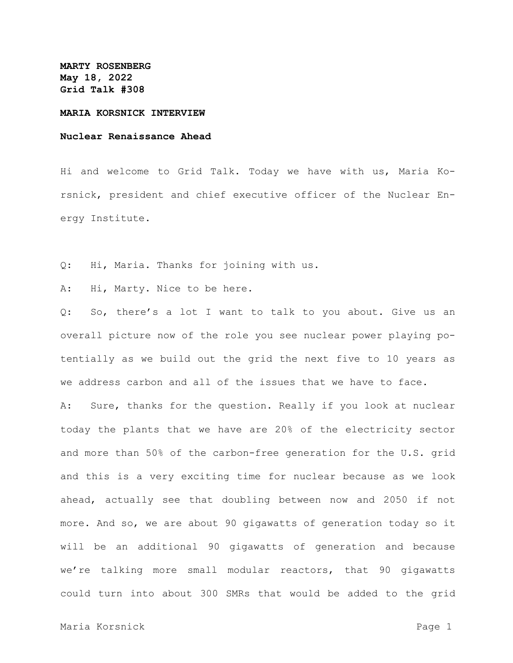**MARTY ROSENBERG May 18, 2022 Grid Talk #308**

#### **MARIA KORSNICK INTERVIEW**

### **Nuclear Renaissance Ahead**

Hi and welcome to Grid Talk. Today we have with us, Maria Korsnick, president and chief executive officer of the Nuclear Energy Institute.

Q: Hi, Maria. Thanks for joining with us.

A: Hi, Marty. Nice to be here.

Q: So, there's a lot I want to talk to you about. Give us an overall picture now of the role you see nuclear power playing potentially as we build out the grid the next five to 10 years as we address carbon and all of the issues that we have to face.

A: Sure, thanks for the question. Really if you look at nuclear today the plants that we have are 20% of the electricity sector and more than 50% of the carbon-free generation for the U.S. grid and this is a very exciting time for nuclear because as we look ahead, actually see that doubling between now and 2050 if not more. And so, we are about 90 gigawatts of generation today so it will be an additional 90 gigawatts of generation and because we're talking more small modular reactors, that 90 gigawatts could turn into about 300 SMRs that would be added to the grid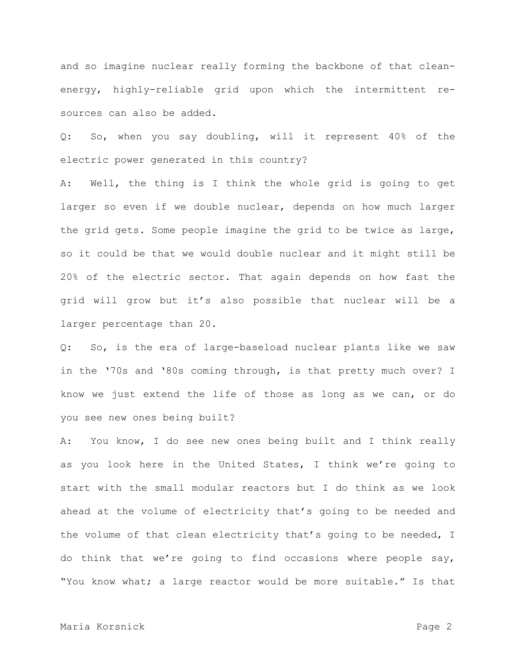and so imagine nuclear really forming the backbone of that cleanenergy, highly-reliable grid upon which the intermittent resources can also be added.

Q: So, when you say doubling, will it represent 40% of the electric power generated in this country?

A: Well, the thing is I think the whole grid is going to get larger so even if we double nuclear, depends on how much larger the grid gets. Some people imagine the grid to be twice as large, so it could be that we would double nuclear and it might still be 20% of the electric sector. That again depends on how fast the grid will grow but it's also possible that nuclear will be a larger percentage than 20.

Q: So, is the era of large-baseload nuclear plants like we saw in the '70s and '80s coming through, is that pretty much over? I know we just extend the life of those as long as we can, or do you see new ones being built?

A: You know, I do see new ones being built and I think really as you look here in the United States, I think we're going to start with the small modular reactors but I do think as we look ahead at the volume of electricity that's going to be needed and the volume of that clean electricity that's going to be needed, I do think that we're going to find occasions where people say, "You know what; a large reactor would be more suitable." Is that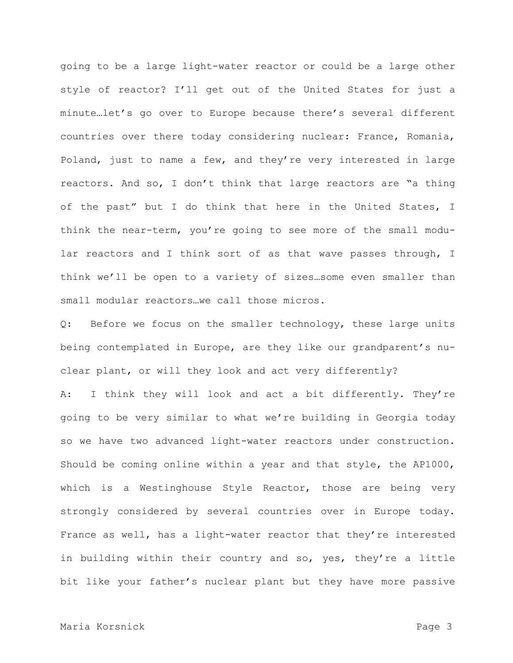going to be a large light-water reactor or could be a large other style of reactor? I'll get out of the United States for just a minute…let's go over to Europe because there's several different countries over there today considering nuclear: France, Romania, Poland, just to name a few, and they're very interested in large reactors. And so, I don't think that large reactors are "a thing of the past" but I do think that here in the United States, I think the near-term, you're going to see more of the small modular reactors and I think sort of as that wave passes through, I think we'll be open to a variety of sizes…some even smaller than small modular reactors…we call those micros.

Q: Before we focus on the smaller technology, these large units being contemplated in Europe, are they like our grandparent's nuclear plant, or will they look and act very differently?

A: I think they will look and act a bit differently. They're going to be very similar to what we're building in Georgia today so we have two advanced light-water reactors under construction. Should be coming online within a year and that style, the AP1000, which is a Westinghouse Style Reactor, those are being very strongly considered by several countries over in Europe today. France as well, has a light-water reactor that they're interested in building within their country and so, yes, they're a little bit like your father's nuclear plant but they have more passive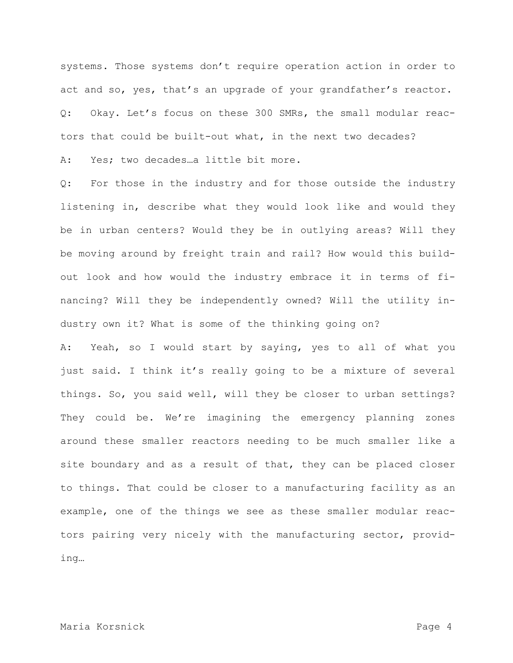systems. Those systems don't require operation action in order to act and so, yes, that's an upgrade of your grandfather's reactor. Q: Okay. Let's focus on these 300 SMRs, the small modular reactors that could be built-out what, in the next two decades?

A: Yes; two decades…a little bit more.

Q: For those in the industry and for those outside the industry listening in, describe what they would look like and would they be in urban centers? Would they be in outlying areas? Will they be moving around by freight train and rail? How would this buildout look and how would the industry embrace it in terms of financing? Will they be independently owned? Will the utility industry own it? What is some of the thinking going on?

A: Yeah, so I would start by saying, yes to all of what you just said. I think it's really going to be a mixture of several things. So, you said well, will they be closer to urban settings? They could be. We're imagining the emergency planning zones around these smaller reactors needing to be much smaller like a site boundary and as a result of that, they can be placed closer to things. That could be closer to a manufacturing facility as an example, one of the things we see as these smaller modular reactors pairing very nicely with the manufacturing sector, providing…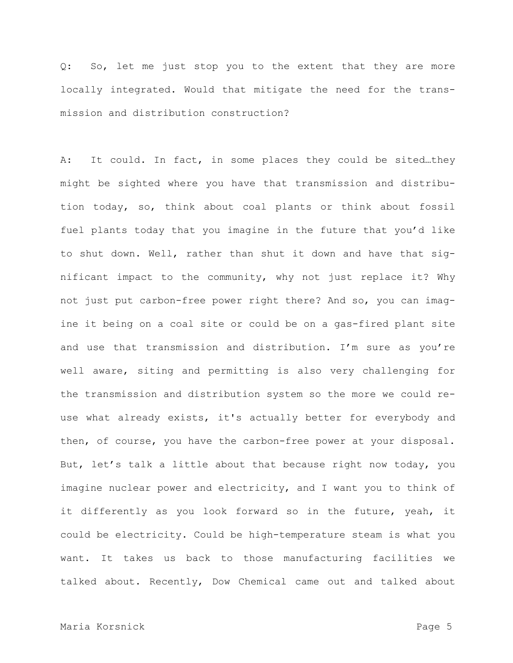Q: So, let me just stop you to the extent that they are more locally integrated. Would that mitigate the need for the transmission and distribution construction?

A: It could. In fact, in some places they could be sited…they might be sighted where you have that transmission and distribution today, so, think about coal plants or think about fossil fuel plants today that you imagine in the future that you'd like to shut down. Well, rather than shut it down and have that significant impact to the community, why not just replace it? Why not just put carbon-free power right there? And so, you can imagine it being on a coal site or could be on a gas-fired plant site and use that transmission and distribution. I'm sure as you're well aware, siting and permitting is also very challenging for the transmission and distribution system so the more we could reuse what already exists, it's actually better for everybody and then, of course, you have the carbon-free power at your disposal. But, let's talk a little about that because right now today, you imagine nuclear power and electricity, and I want you to think of it differently as you look forward so in the future, yeah, it could be electricity. Could be high-temperature steam is what you want. It takes us back to those manufacturing facilities we talked about. Recently, Dow Chemical came out and talked about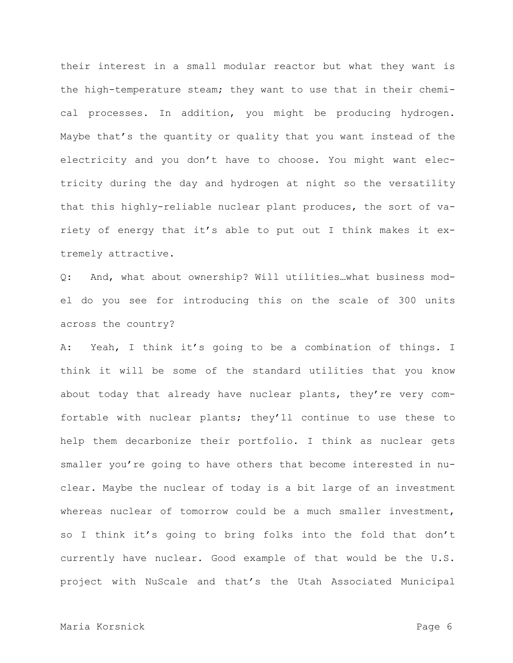their interest in a small modular reactor but what they want is the high-temperature steam; they want to use that in their chemical processes. In addition, you might be producing hydrogen. Maybe that's the quantity or quality that you want instead of the electricity and you don't have to choose. You might want electricity during the day and hydrogen at night so the versatility that this highly-reliable nuclear plant produces, the sort of variety of energy that it's able to put out I think makes it extremely attractive.

Q: And, what about ownership? Will utilities…what business model do you see for introducing this on the scale of 300 units across the country?

A: Yeah, I think it's going to be a combination of things. I think it will be some of the standard utilities that you know about today that already have nuclear plants, they're very comfortable with nuclear plants; they'll continue to use these to help them decarbonize their portfolio. I think as nuclear gets smaller you're going to have others that become interested in nuclear. Maybe the nuclear of today is a bit large of an investment whereas nuclear of tomorrow could be a much smaller investment, so I think it's going to bring folks into the fold that don't currently have nuclear. Good example of that would be the U.S. project with NuScale and that's the Utah Associated Municipal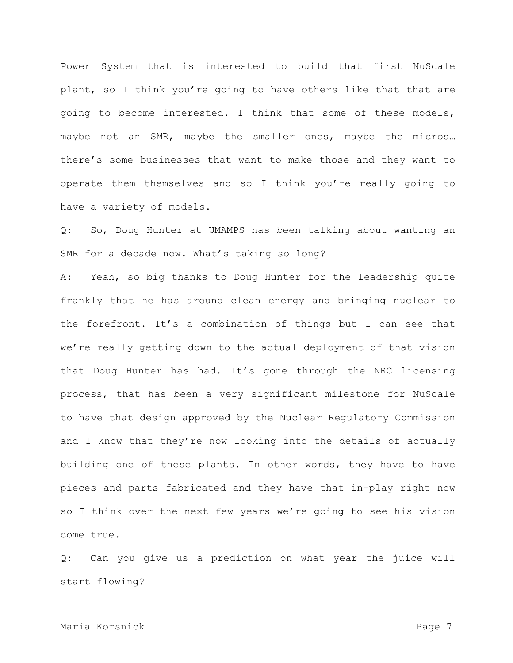Power System that is interested to build that first NuScale plant, so I think you're going to have others like that that are going to become interested. I think that some of these models, maybe not an SMR, maybe the smaller ones, maybe the micros… there's some businesses that want to make those and they want to operate them themselves and so I think you're really going to have a variety of models.

Q: So, Doug Hunter at UMAMPS has been talking about wanting an SMR for a decade now. What's taking so long?

A: Yeah, so big thanks to Doug Hunter for the leadership quite frankly that he has around clean energy and bringing nuclear to the forefront. It's a combination of things but I can see that we're really getting down to the actual deployment of that vision that Doug Hunter has had. It's gone through the NRC licensing process, that has been a very significant milestone for NuScale to have that design approved by the Nuclear Regulatory Commission and I know that they're now looking into the details of actually building one of these plants. In other words, they have to have pieces and parts fabricated and they have that in-play right now so I think over the next few years we're going to see his vision come true.

Q: Can you give us a prediction on what year the juice will start flowing?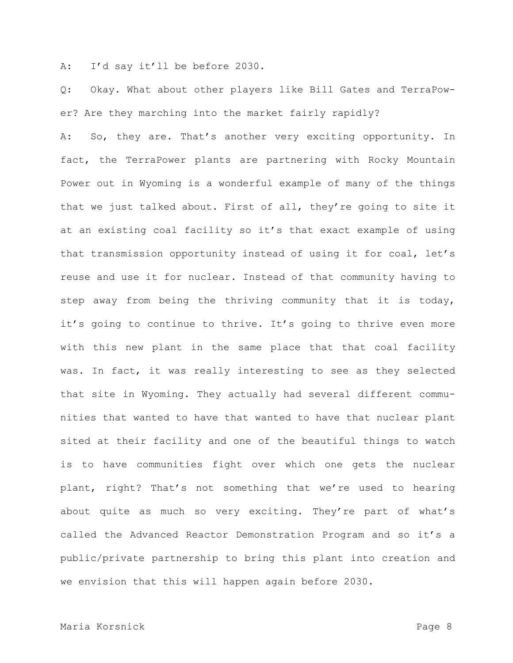A: I'd say it'll be before 2030.

Q: Okay. What about other players like Bill Gates and TerraPower? Are they marching into the market fairly rapidly?

A: So, they are. That's another very exciting opportunity. In fact, the TerraPower plants are partnering with Rocky Mountain Power out in Wyoming is a wonderful example of many of the things that we just talked about. First of all, they're going to site it at an existing coal facility so it's that exact example of using that transmission opportunity instead of using it for coal, let's reuse and use it for nuclear. Instead of that community having to step away from being the thriving community that it is today, it's going to continue to thrive. It's going to thrive even more with this new plant in the same place that that coal facility was. In fact, it was really interesting to see as they selected that site in Wyoming. They actually had several different communities that wanted to have that wanted to have that nuclear plant sited at their facility and one of the beautiful things to watch is to have communities fight over which one gets the nuclear plant, right? That's not something that we're used to hearing about quite as much so very exciting. They're part of what's called the Advanced Reactor Demonstration Program and so it's a public/private partnership to bring this plant into creation and we envision that this will happen again before 2030.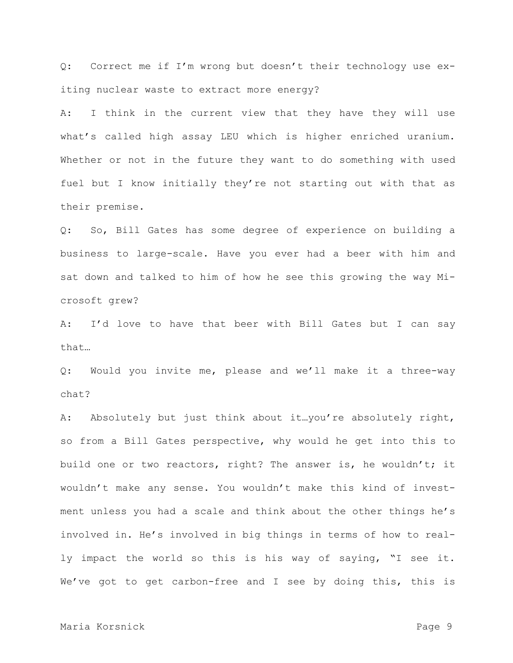Q: Correct me if I'm wrong but doesn't their technology use exiting nuclear waste to extract more energy?

A: I think in the current view that they have they will use what's called high assay LEU which is higher enriched uranium. Whether or not in the future they want to do something with used fuel but I know initially they're not starting out with that as their premise.

Q: So, Bill Gates has some degree of experience on building a business to large-scale. Have you ever had a beer with him and sat down and talked to him of how he see this growing the way Microsoft grew?

A: I'd love to have that beer with Bill Gates but I can say that…

Q: Would you invite me, please and we'll make it a three-way chat?

A: Absolutely but just think about it…you're absolutely right, so from a Bill Gates perspective, why would he get into this to build one or two reactors, right? The answer is, he wouldn't; it wouldn't make any sense. You wouldn't make this kind of investment unless you had a scale and think about the other things he's involved in. He's involved in big things in terms of how to really impact the world so this is his way of saying, "I see it. We've got to get carbon-free and I see by doing this, this is

# Maria Korsnick **Page 9**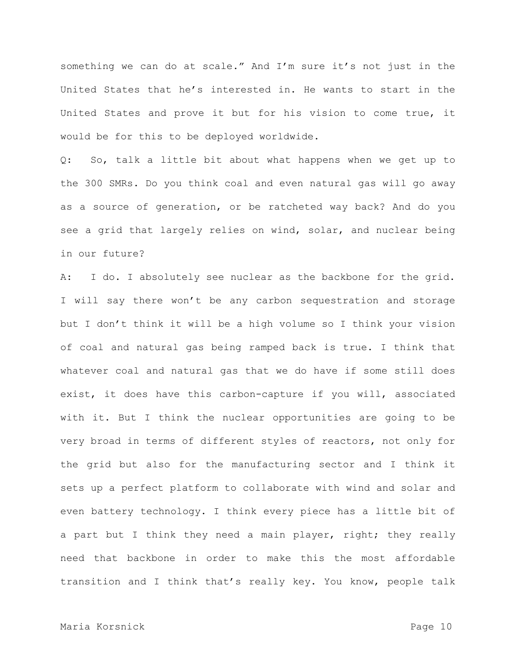something we can do at scale." And I'm sure it's not just in the United States that he's interested in. He wants to start in the United States and prove it but for his vision to come true, it would be for this to be deployed worldwide.

Q: So, talk a little bit about what happens when we get up to the 300 SMRs. Do you think coal and even natural gas will go away as a source of generation, or be ratcheted way back? And do you see a grid that largely relies on wind, solar, and nuclear being in our future?

A: I do. I absolutely see nuclear as the backbone for the grid. I will say there won't be any carbon sequestration and storage but I don't think it will be a high volume so I think your vision of coal and natural gas being ramped back is true. I think that whatever coal and natural gas that we do have if some still does exist, it does have this carbon-capture if you will, associated with it. But I think the nuclear opportunities are going to be very broad in terms of different styles of reactors, not only for the grid but also for the manufacturing sector and I think it sets up a perfect platform to collaborate with wind and solar and even battery technology. I think every piece has a little bit of a part but I think they need a main player, right; they really need that backbone in order to make this the most affordable transition and I think that's really key. You know, people talk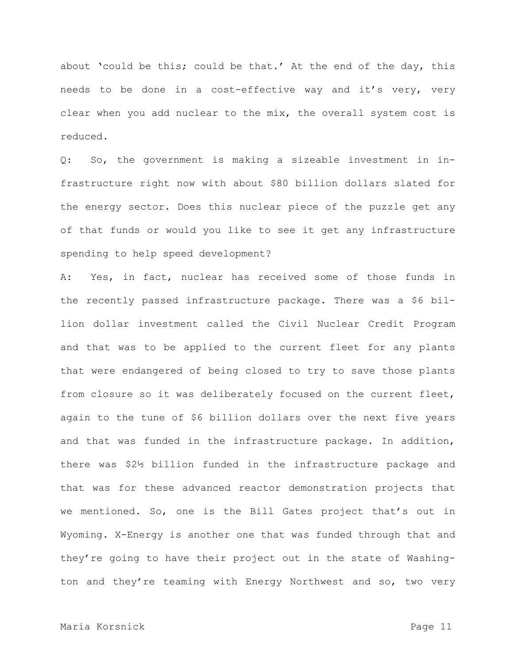about 'could be this; could be that.' At the end of the day, this needs to be done in a cost-effective way and it's very, very clear when you add nuclear to the mix, the overall system cost is reduced.

Q: So, the government is making a sizeable investment in infrastructure right now with about \$80 billion dollars slated for the energy sector. Does this nuclear piece of the puzzle get any of that funds or would you like to see it get any infrastructure spending to help speed development?

A: Yes, in fact, nuclear has received some of those funds in the recently passed infrastructure package. There was a \$6 billion dollar investment called the Civil Nuclear Credit Program and that was to be applied to the current fleet for any plants that were endangered of being closed to try to save those plants from closure so it was deliberately focused on the current fleet, again to the tune of \$6 billion dollars over the next five years and that was funded in the infrastructure package. In addition, there was \$2½ billion funded in the infrastructure package and that was for these advanced reactor demonstration projects that we mentioned. So, one is the Bill Gates project that's out in Wyoming. X-Energy is another one that was funded through that and they're going to have their project out in the state of Washington and they're teaming with Energy Northwest and so, two very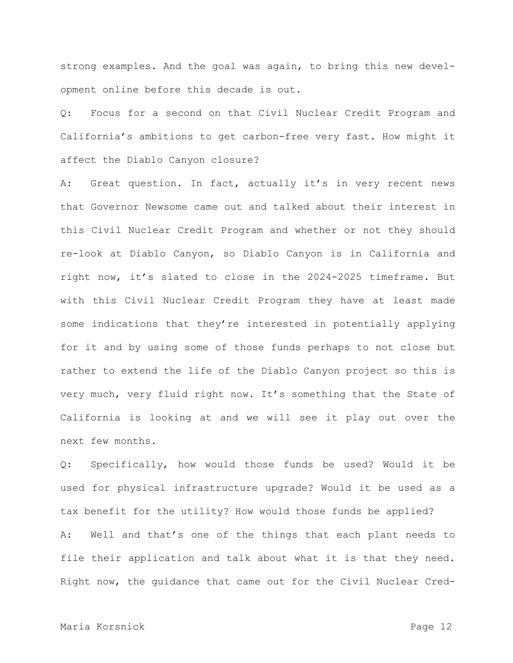strong examples. And the goal was again, to bring this new development online before this decade is out.

Q: Focus for a second on that Civil Nuclear Credit Program and California's ambitions to get carbon-free very fast. How might it affect the Diablo Canyon closure?

A: Great question. In fact, actually it's in very recent news that Governor Newsome came out and talked about their interest in this Civil Nuclear Credit Program and whether or not they should re-look at Diablo Canyon, so Diablo Canyon is in California and right now, it's slated to close in the 2024-2025 timeframe. But with this Civil Nuclear Credit Program they have at least made some indications that they're interested in potentially applying for it and by using some of those funds perhaps to not close but rather to extend the life of the Diablo Canyon project so this is very much, very fluid right now. It's something that the State of California is looking at and we will see it play out over the next few months.

Q: Specifically, how would those funds be used? Would it be used for physical infrastructure upgrade? Would it be used as a tax benefit for the utility? How would those funds be applied? A: Well and that's one of the things that each plant needs to file their application and talk about what it is that they need. Right now, the guidance that came out for the Civil Nuclear Cred-

## Maria Korsnick Page 12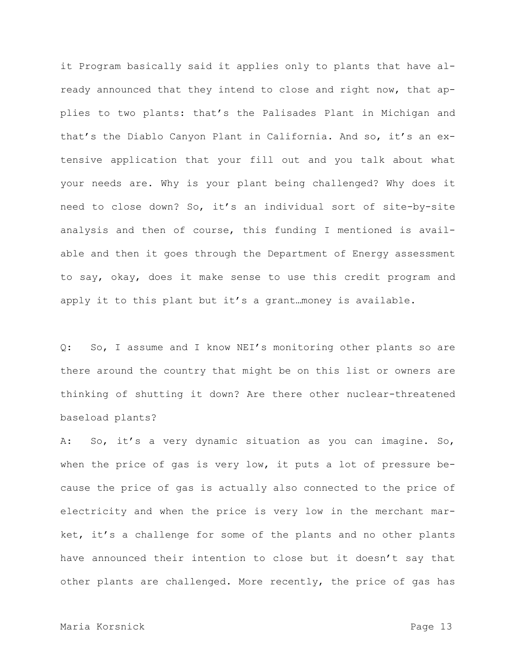it Program basically said it applies only to plants that have already announced that they intend to close and right now, that applies to two plants: that's the Palisades Plant in Michigan and that's the Diablo Canyon Plant in California. And so, it's an extensive application that your fill out and you talk about what your needs are. Why is your plant being challenged? Why does it need to close down? So, it's an individual sort of site-by-site analysis and then of course, this funding I mentioned is available and then it goes through the Department of Energy assessment to say, okay, does it make sense to use this credit program and apply it to this plant but it's a grant…money is available.

Q: So, I assume and I know NEI's monitoring other plants so are there around the country that might be on this list or owners are thinking of shutting it down? Are there other nuclear-threatened baseload plants?

A: So, it's a very dynamic situation as you can imagine. So, when the price of gas is very low, it puts a lot of pressure because the price of gas is actually also connected to the price of electricity and when the price is very low in the merchant market, it's a challenge for some of the plants and no other plants have announced their intention to close but it doesn't say that other plants are challenged. More recently, the price of gas has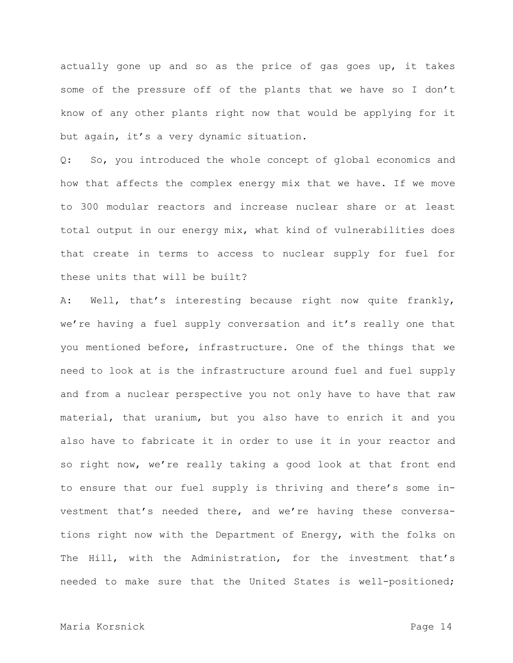actually gone up and so as the price of gas goes up, it takes some of the pressure off of the plants that we have so I don't know of any other plants right now that would be applying for it but again, it's a very dynamic situation.

Q: So, you introduced the whole concept of global economics and how that affects the complex energy mix that we have. If we move to 300 modular reactors and increase nuclear share or at least total output in our energy mix, what kind of vulnerabilities does that create in terms to access to nuclear supply for fuel for these units that will be built?

A: Well, that's interesting because right now quite frankly, we're having a fuel supply conversation and it's really one that you mentioned before, infrastructure. One of the things that we need to look at is the infrastructure around fuel and fuel supply and from a nuclear perspective you not only have to have that raw material, that uranium, but you also have to enrich it and you also have to fabricate it in order to use it in your reactor and so right now, we're really taking a good look at that front end to ensure that our fuel supply is thriving and there's some investment that's needed there, and we're having these conversations right now with the Department of Energy, with the folks on The Hill, with the Administration, for the investment that's needed to make sure that the United States is well-positioned;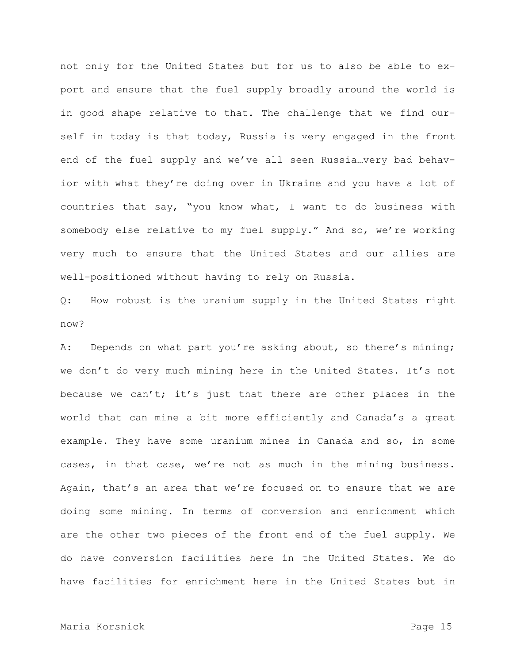not only for the United States but for us to also be able to export and ensure that the fuel supply broadly around the world is in good shape relative to that. The challenge that we find ourself in today is that today, Russia is very engaged in the front end of the fuel supply and we've all seen Russia…very bad behavior with what they're doing over in Ukraine and you have a lot of countries that say, "you know what, I want to do business with somebody else relative to my fuel supply." And so, we're working very much to ensure that the United States and our allies are well-positioned without having to rely on Russia.

Q: How robust is the uranium supply in the United States right now?

A: Depends on what part you're asking about, so there's mining; we don't do very much mining here in the United States. It's not because we can't; it's just that there are other places in the world that can mine a bit more efficiently and Canada's a great example. They have some uranium mines in Canada and so, in some cases, in that case, we're not as much in the mining business. Again, that's an area that we're focused on to ensure that we are doing some mining. In terms of conversion and enrichment which are the other two pieces of the front end of the fuel supply. We do have conversion facilities here in the United States. We do have facilities for enrichment here in the United States but in

# Maria Korsnick Page 15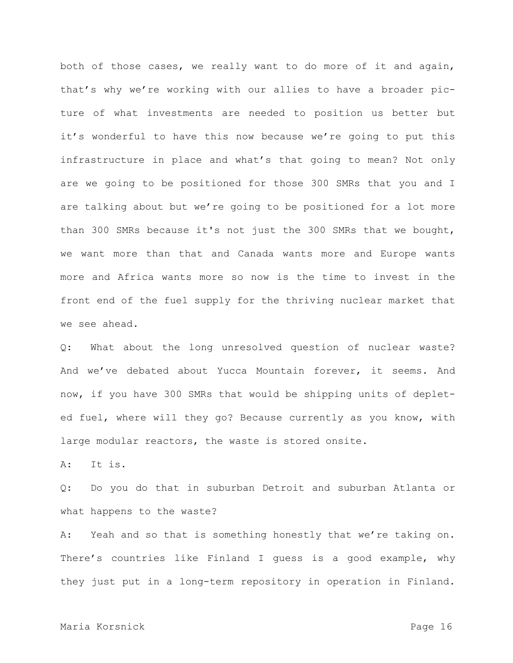both of those cases, we really want to do more of it and again, that's why we're working with our allies to have a broader picture of what investments are needed to position us better but it's wonderful to have this now because we're going to put this infrastructure in place and what's that going to mean? Not only are we going to be positioned for those 300 SMRs that you and I are talking about but we're going to be positioned for a lot more than 300 SMRs because it's not just the 300 SMRs that we bought, we want more than that and Canada wants more and Europe wants more and Africa wants more so now is the time to invest in the front end of the fuel supply for the thriving nuclear market that we see ahead.

Q: What about the long unresolved question of nuclear waste? And we've debated about Yucca Mountain forever, it seems. And now, if you have 300 SMRs that would be shipping units of depleted fuel, where will they go? Because currently as you know, with large modular reactors, the waste is stored onsite.

A: It is.

Q: Do you do that in suburban Detroit and suburban Atlanta or what happens to the waste?

A: Yeah and so that is something honestly that we're taking on. There's countries like Finland I guess is a good example, why they just put in a long-term repository in operation in Finland.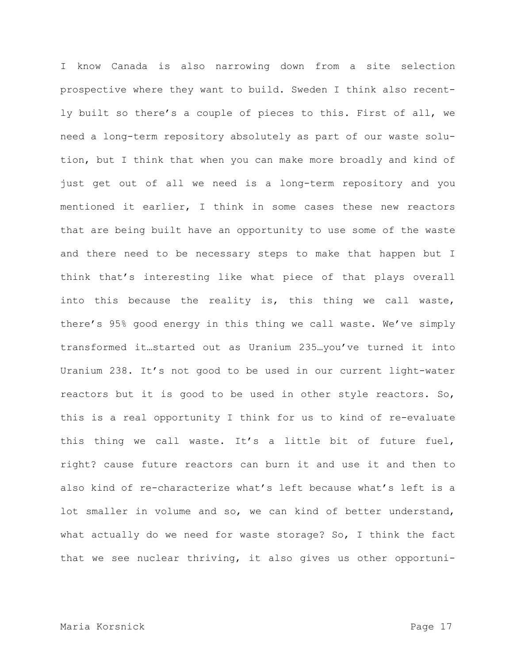I know Canada is also narrowing down from a site selection prospective where they want to build. Sweden I think also recently built so there's a couple of pieces to this. First of all, we need a long-term repository absolutely as part of our waste solution, but I think that when you can make more broadly and kind of just get out of all we need is a long-term repository and you mentioned it earlier, I think in some cases these new reactors that are being built have an opportunity to use some of the waste and there need to be necessary steps to make that happen but I think that's interesting like what piece of that plays overall into this because the reality is, this thing we call waste, there's 95% good energy in this thing we call waste. We've simply transformed it…started out as Uranium 235…you've turned it into Uranium 238. It's not good to be used in our current light-water reactors but it is good to be used in other style reactors. So, this is a real opportunity I think for us to kind of re-evaluate this thing we call waste. It's a little bit of future fuel, right? cause future reactors can burn it and use it and then to also kind of re-characterize what's left because what's left is a lot smaller in volume and so, we can kind of better understand, what actually do we need for waste storage? So, I think the fact that we see nuclear thriving, it also gives us other opportuni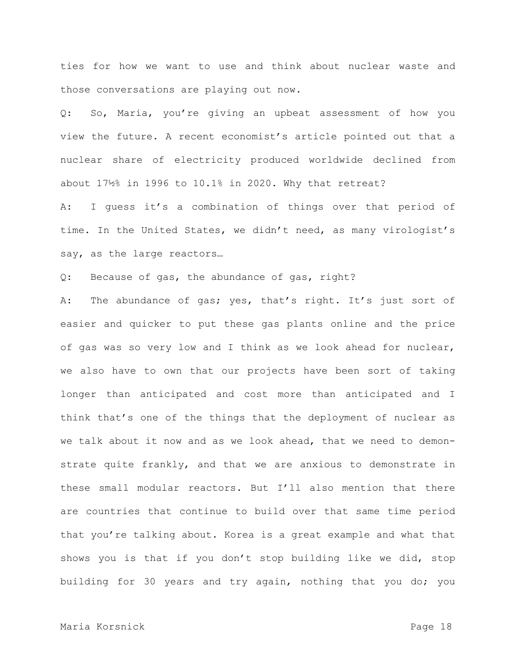ties for how we want to use and think about nuclear waste and those conversations are playing out now.

Q: So, Maria, you're giving an upbeat assessment of how you view the future. A recent economist's article pointed out that a nuclear share of electricity produced worldwide declined from about 17½% in 1996 to 10.1% in 2020. Why that retreat?

A: I guess it's a combination of things over that period of time. In the United States, we didn't need, as many virologist's say, as the large reactors…

Q: Because of gas, the abundance of gas, right?

A: The abundance of gas; yes, that's right. It's just sort of easier and quicker to put these gas plants online and the price of gas was so very low and I think as we look ahead for nuclear, we also have to own that our projects have been sort of taking longer than anticipated and cost more than anticipated and I think that's one of the things that the deployment of nuclear as we talk about it now and as we look ahead, that we need to demonstrate quite frankly, and that we are anxious to demonstrate in these small modular reactors. But I'll also mention that there are countries that continue to build over that same time period that you're talking about. Korea is a great example and what that shows you is that if you don't stop building like we did, stop building for 30 years and try again, nothing that you do; you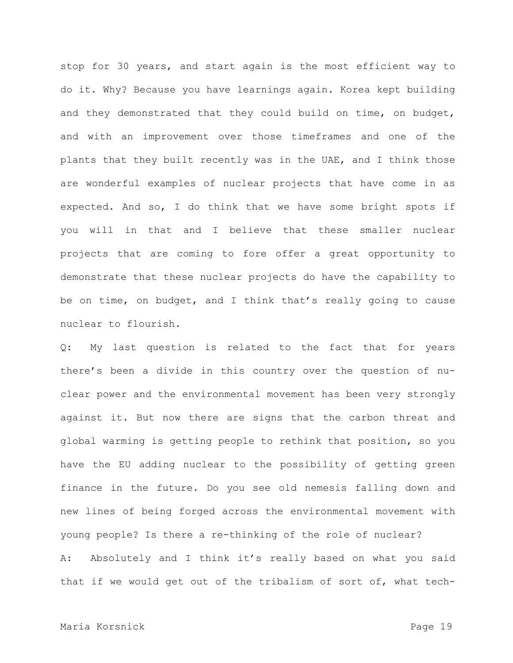stop for 30 years, and start again is the most efficient way to do it. Why? Because you have learnings again. Korea kept building and they demonstrated that they could build on time, on budget, and with an improvement over those timeframes and one of the plants that they built recently was in the UAE, and I think those are wonderful examples of nuclear projects that have come in as expected. And so, I do think that we have some bright spots if you will in that and I believe that these smaller nuclear projects that are coming to fore offer a great opportunity to demonstrate that these nuclear projects do have the capability to be on time, on budget, and I think that's really going to cause nuclear to flourish.

Q: My last question is related to the fact that for years there's been a divide in this country over the question of nuclear power and the environmental movement has been very strongly against it. But now there are signs that the carbon threat and global warming is getting people to rethink that position, so you have the EU adding nuclear to the possibility of getting green finance in the future. Do you see old nemesis falling down and new lines of being forged across the environmental movement with young people? Is there a re-thinking of the role of nuclear? A: Absolutely and I think it's really based on what you said that if we would get out of the tribalism of sort of, what tech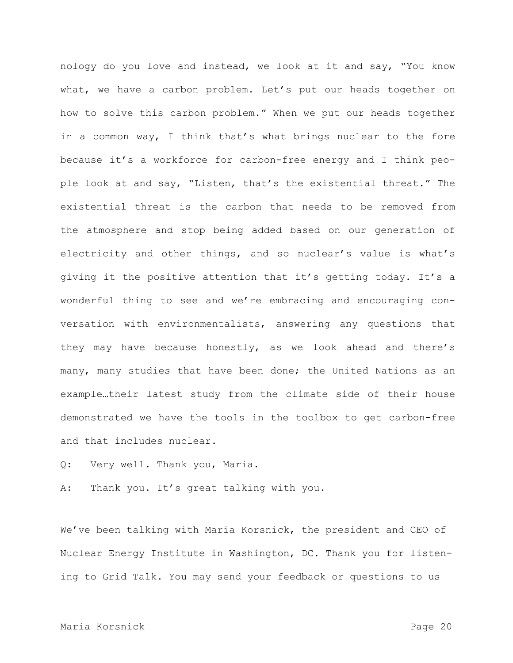nology do you love and instead, we look at it and say, "You know what, we have a carbon problem. Let's put our heads together on how to solve this carbon problem." When we put our heads together in a common way, I think that's what brings nuclear to the fore because it's a workforce for carbon-free energy and I think people look at and say, "Listen, that's the existential threat." The existential threat is the carbon that needs to be removed from the atmosphere and stop being added based on our generation of electricity and other things, and so nuclear's value is what's giving it the positive attention that it's getting today. It's a wonderful thing to see and we're embracing and encouraging conversation with environmentalists, answering any questions that they may have because honestly, as we look ahead and there's many, many studies that have been done; the United Nations as an example…their latest study from the climate side of their house demonstrated we have the tools in the toolbox to get carbon-free and that includes nuclear.

Q: Very well. Thank you, Maria.

A: Thank you. It's great talking with you.

We've been talking with Maria Korsnick, the president and CEO of Nuclear Energy Institute in Washington, DC. Thank you for listening to Grid Talk. You may send your feedback or questions to us

# Maria Korsnick Page 20